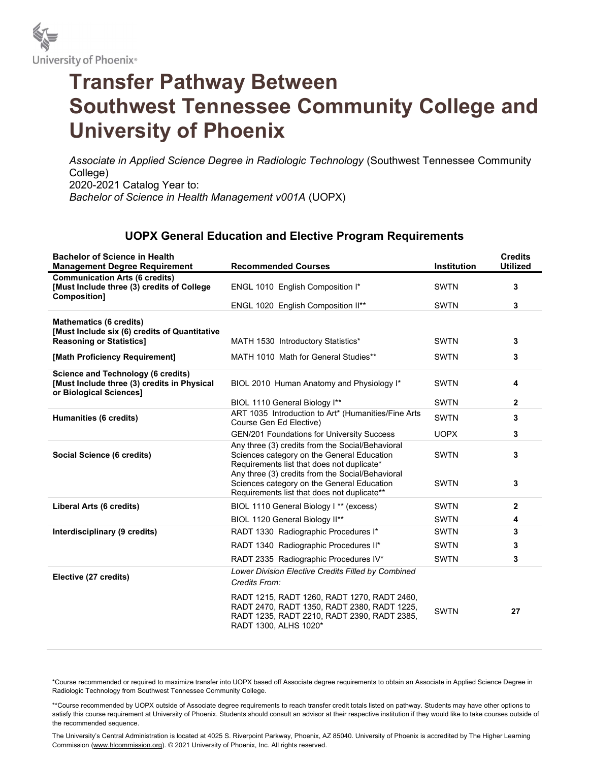

## Transfer Pathway Between Southwest Tennessee Community College and University of Phoenix

Associate in Applied Science Degree in Radiologic Technology (Southwest Tennessee Community College) 2020-2021 Catalog Year to: Bachelor of Science in Health Management v001A (UOPX)

## UOPX General Education and Elective Program Requirements

| <b>Bachelor of Science in Health</b><br><b>Management Degree Requirement</b>                                        | <b>Recommended Courses</b>                                                                                                                                         | Institution | <b>Credits</b><br><b>Utilized</b> |
|---------------------------------------------------------------------------------------------------------------------|--------------------------------------------------------------------------------------------------------------------------------------------------------------------|-------------|-----------------------------------|
| <b>Communication Arts (6 credits)</b><br>[Must Include three (3) credits of College<br><b>Composition1</b>          | ENGL 1010 English Composition I*                                                                                                                                   | <b>SWTN</b> | 3                                 |
|                                                                                                                     | ENGL 1020 English Composition II**                                                                                                                                 | <b>SWTN</b> | 3                                 |
| <b>Mathematics (6 credits)</b><br>[Must Include six (6) credits of Quantitative                                     |                                                                                                                                                                    |             |                                   |
| <b>Reasoning or Statistics]</b>                                                                                     | MATH 1530 Introductory Statistics*                                                                                                                                 | <b>SWTN</b> | 3                                 |
| [Math Proficiency Requirement]                                                                                      | MATH 1010 Math for General Studies**                                                                                                                               | <b>SWTN</b> | 3                                 |
| <b>Science and Technology (6 credits)</b><br>[Must Include three (3) credits in Physical<br>or Biological Sciences] | BIOL 2010 Human Anatomy and Physiology I*                                                                                                                          | <b>SWTN</b> | 4                                 |
|                                                                                                                     | BIOL 1110 General Biology I**                                                                                                                                      | <b>SWTN</b> | $\mathbf{2}$                      |
| Humanities (6 credits)                                                                                              | ART 1035 Introduction to Art* (Humanities/Fine Arts<br>Course Gen Ed Elective)                                                                                     | <b>SWTN</b> | 3                                 |
|                                                                                                                     | <b>GEN/201 Foundations for University Success</b>                                                                                                                  | <b>UOPX</b> | 3                                 |
| Social Science (6 credits)                                                                                          | Any three (3) credits from the Social/Behavioral<br>Sciences category on the General Education<br>Requirements list that does not duplicate*                       | <b>SWTN</b> | 3                                 |
|                                                                                                                     | Any three (3) credits from the Social/Behavioral<br>Sciences category on the General Education<br>Requirements list that does not duplicate**                      | <b>SWTN</b> | 3                                 |
| Liberal Arts (6 credits)                                                                                            | BIOL 1110 General Biology I ** (excess)                                                                                                                            | <b>SWTN</b> | $\mathbf{2}$                      |
|                                                                                                                     | BIOL 1120 General Biology II**                                                                                                                                     | <b>SWTN</b> | 4                                 |
| Interdisciplinary (9 credits)                                                                                       | RADT 1330 Radiographic Procedures I*                                                                                                                               | <b>SWTN</b> | 3                                 |
|                                                                                                                     | RADT 1340 Radiographic Procedures II*                                                                                                                              | <b>SWTN</b> | 3                                 |
|                                                                                                                     | RADT 2335 Radiographic Procedures IV*                                                                                                                              | <b>SWTN</b> | 3                                 |
| Elective (27 credits)                                                                                               | Lower Division Elective Credits Filled by Combined<br>Credits From:                                                                                                |             |                                   |
|                                                                                                                     | RADT 1215, RADT 1260, RADT 1270, RADT 2460,<br>RADT 2470, RADT 1350, RADT 2380, RADT 1225,<br>RADT 1235, RADT 2210, RADT 2390, RADT 2385,<br>RADT 1300, ALHS 1020* | <b>SWTN</b> | 27                                |

\*Course recommended or required to maximize transfer into UOPX based off Associate degree requirements to obtain an Associate in Applied Science Degree in Radiologic Technology from Southwest Tennessee Community College.

\*\*Course recommended by UOPX outside of Associate degree requirements to reach transfer credit totals listed on pathway. Students may have other options to satisfy this course requirement at University of Phoenix. Students should consult an advisor at their respective institution if they would like to take courses outside of the recommended sequence.

The University's Central Administration is located at 4025 S. Riverpoint Parkway, Phoenix, AZ 85040. University of Phoenix is accredited by The Higher Learning Commission (www.hlcommission.org). © 2021 University of Phoenix, Inc. All rights reserved.